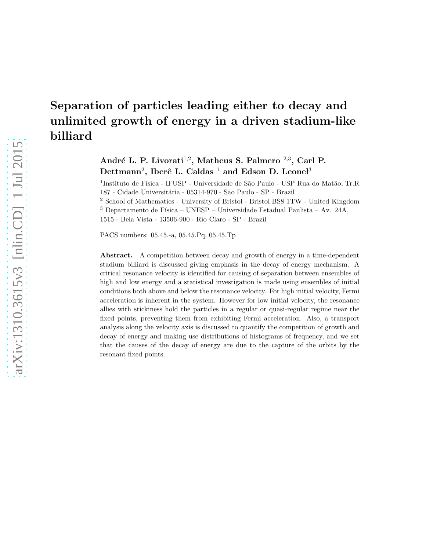# Separation of particles leading either to decay and unlimited growth of energy in a driven stadium-like billiard

André L. P. Livorati<sup>1,2</sup>, Matheus S. Palmero <sup>2,3</sup>, Carl P.  $\rm Dettmann^2, Iber\^e L.$  Caldas  $^1$  and Edson D. Leonel<sup>3</sup>

 $^{1}$ Instituto de Física - IFUSP - Universidade de São Paulo - USP Rua do Matão, Tr.R 187 - Cidade Universitária - 05314-970 - São Paulo - SP - Brazil

<sup>2</sup> School of Mathematics - University of Bristol - Bristol BS8 1TW - United Kingdom  $^3$  Departamento de Física – UNESP – Universidade Estadual Paulista – Av. 24A, 1515 - Bela Vista - 13506-900 - Rio Claro - SP - Brazil

PACS numbers: 05.45.-a, 05.45.Pq, 05.45.Tp

Abstract. A competition between decay and growth of energy in a time-dependent stadium billiard is discussed giving emphasis in the decay of energy mechanism. A critical resonance velocity is identified for causing of separation between ensembles of high and low energy and a statistical investigation is made using ensembles of initial conditions both above and below the resonance velocity. For high initial velocity, Fermi acceleration is inherent in the system. However for low initial velocity, the resonance allies with stickiness hold the particles in a regular or quasi-regular regime near the fixed points, preventing them from exhibiting Fermi acceleration. Also, a transport analysis along the velocity axis is discussed to quantify the competition of growth and decay of energy and making use distributions of histograms of frequency, and we set that the causes of the decay of energy are due to the capture of the orbits by the resonant fixed points.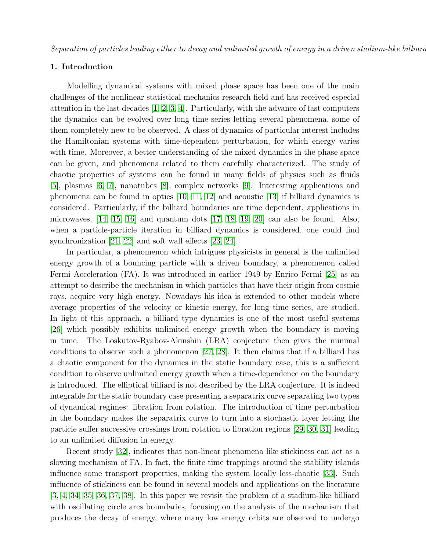Separation of particles leading either to decay and unlimited growth of energy in a driven stadium-like billiard

# 1. Introduction

Modelling dynamical systems with mixed phase space has been one of the main challenges of the nonlinear statistical mechanics research field and has received especial attention in the last decades [\[1,](#page-16-0) [2,](#page-16-1) [3,](#page-16-2) [4\]](#page-16-3). Particularly, with the advance of fast computers the dynamics can be evolved over long time series letting several phenomena, some of them completely new to be observed. A class of dynamics of particular interest includes the Hamiltonian systems with time-dependent perturbation, for which energy varies with time. Moreover, a better understanding of the mixed dynamics in the phase space can be given, and phenomena related to them carefully characterized. The study of chaotic properties of systems can be found in many fields of physics such as fluids [\[5\]](#page-16-4), plasmas [\[6,](#page-16-5) [7\]](#page-16-6), nanotubes [\[8\]](#page-16-7), complex networks [\[9\]](#page-16-8). Interesting applications and phenomena can be found in optics [\[10,](#page-16-9) [11,](#page-16-10) [12\]](#page-16-11) and acoustic [\[13\]](#page-16-12) if billiard dynamics is considered. Particularly, if the billiard boundaries are time dependent, applications in microwaves,  $[14, 15, 16]$  $[14, 15, 16]$  $[14, 15, 16]$  and quantum dots  $[17, 18, 19, 20]$  $[17, 18, 19, 20]$  $[17, 18, 19, 20]$  $[17, 18, 19, 20]$  can also be found. Also, when a particle-particle iteration in billiard dynamics is considered, one could find synchronization [\[21,](#page-16-20) [22\]](#page-16-21) and soft wall effects [\[23,](#page-16-22) [24\]](#page-16-23).

In particular, a phenomenon which intrigues physicists in general is the unlimited energy growth of a bouncing particle with a driven boundary, a phenomenon called Fermi Acceleration (FA). It was introduced in earlier 1949 by Enrico Fermi [\[25\]](#page-16-24) as an attempt to describe the mechanism in which particles that have their origin from cosmic rays, acquire very high energy. Nowadays his idea is extended to other models where average properties of the velocity or kinetic energy, for long time series, are studied. In light of this approach, a billiard type dynamics is one of the most useful systems [\[26\]](#page-17-0) which possibly exhibits unlimited energy growth when the boundary is moving in time. The Loskutov-Ryabov-Akinshin (LRA) conjecture then gives the minimal conditions to observe such a phenomenon [\[27,](#page-17-1) [28\]](#page-17-2). It then claims that if a billiard has a chaotic component for the dynamics in the static boundary case, this is a sufficient condition to observe unlimited energy growth when a time-dependence on the boundary is introduced. The elliptical billiard is not described by the LRA conjecture. It is indeed integrable for the static boundary case presenting a separatrix curve separating two types of dynamical regimes: libration from rotation. The introduction of time perturbation in the boundary makes the separatrix curve to turn into a stochastic layer letting the particle suffer successive crossings from rotation to libration regions [\[29,](#page-17-3) [30,](#page-17-4) [31\]](#page-17-5) leading to an unlimited diffusion in energy.

Recent study [\[32\]](#page-17-6), indicates that non-linear phenomena like stickiness can act as a slowing mechanism of FA. In fact, the finite time trappings around the stability islands influence some transport properties, making the system locally less-chaotic [\[33\]](#page-17-7). Such influence of stickiness can be found in several models and applications on the literature [\[3,](#page-16-2) [4,](#page-16-3) [34,](#page-17-8) [35,](#page-17-9) [36,](#page-17-10) [37,](#page-17-11) [38\]](#page-17-12). In this paper we revisit the problem of a stadium-like billiard with oscillating circle arcs boundaries, focusing on the analysis of the mechanism that produces the decay of energy, where many low energy orbits are observed to undergo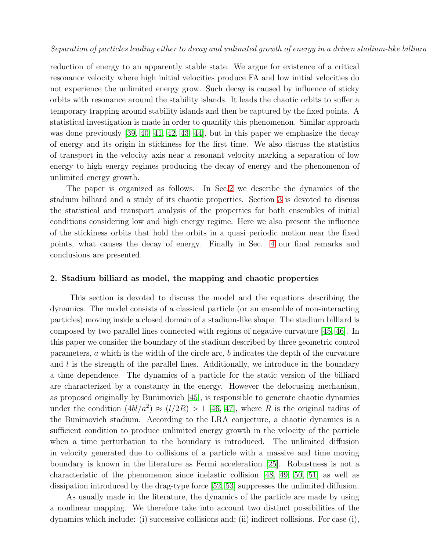reduction of energy to an apparently stable state. We argue for existence of a critical resonance velocity where high initial velocities produce FA and low initial velocities do not experience the unlimited energy grow. Such decay is caused by influence of sticky orbits with resonance around the stability islands. It leads the chaotic orbits to suffer a temporary trapping around stability islands and then be captured by the fixed points. A statistical investigation is made in order to quantify this phenomenon. Similar approach was done previously [\[39,](#page-17-13) [40,](#page-17-14) [41,](#page-17-15) [42,](#page-17-16) [43,](#page-17-17) [44\]](#page-17-18), but in this paper we emphasize the decay of energy and its origin in stickiness for the first time. We also discuss the statistics of transport in the velocity axis near a resonant velocity marking a separation of low energy to high energy regimes producing the decay of energy and the phenomenon of unlimited energy growth.

The paper is organized as follows. In Sec[.2](#page-2-0) we describe the dynamics of the stadium billiard and a study of its chaotic properties. Section [3](#page-5-0) is devoted to discuss the statistical and transport analysis of the properties for both ensembles of initial conditions considering low and high energy regime. Here we also present the influence of the stickiness orbits that hold the orbits in a quasi periodic motion near the fixed points, what causes the decay of energy. Finally in Sec. [4](#page-15-0) our final remarks and conclusions are presented.

# <span id="page-2-0"></span>2. Stadium billiard as model, the mapping and chaotic properties

This section is devoted to discuss the model and the equations describing the dynamics. The model consists of a classical particle (or an ensemble of non-interacting particles) moving inside a closed domain of a stadium-like shape. The stadium billiard is composed by two parallel lines connected with regions of negative curvature [\[45,](#page-17-19) [46\]](#page-17-20). In this paper we consider the boundary of the stadium described by three geometric control parameters, a which is the width of the circle arc, b indicates the depth of the curvature and  $l$  is the strength of the parallel lines. Additionally, we introduce in the boundary a time dependence. The dynamics of a particle for the static version of the billiard are characterized by a constancy in the energy. However the defocusing mechanism, as proposed originally by Bunimovich [\[45\]](#page-17-19), is responsible to generate chaotic dynamics under the condition  $(4bl/a^2) \approx (l/2R) > 1$  [\[46,](#page-17-20) [47\]](#page-17-21), where R is the original radius of the Bunimovich stadium. According to the LRA conjecture, a chaotic dynamics is a sufficient condition to produce unlimited energy growth in the velocity of the particle when a time perturbation to the boundary is introduced. The unlimited diffusion in velocity generated due to collisions of a particle with a massive and time moving boundary is known in the literature as Fermi acceleration [\[25\]](#page-16-24). Robustness is not a characteristic of the phenomenon since inelastic collision [\[48,](#page-17-22) [49,](#page-17-23) [50,](#page-17-24) [51\]](#page-17-25) as well as dissipation introduced by the drag-type force [\[52,](#page-17-26) [53\]](#page-17-27) suppresses the unlimited diffusion.

As usually made in the literature, the dynamics of the particle are made by using a nonlinear mapping. We therefore take into account two distinct possibilities of the dynamics which include: (i) successive collisions and; (ii) indirect collisions. For case (i),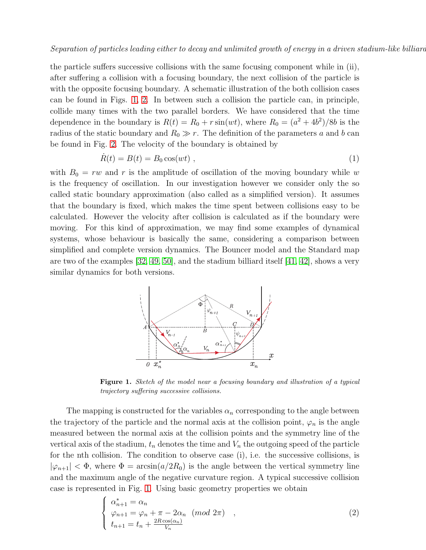the particle suffers successive collisions with the same focusing component while in (ii), after suffering a collision with a focusing boundary, the next collision of the particle is with the opposite focusing boundary. A schematic illustration of the both collision cases can be found in Figs. [1,](#page-3-0) [2.](#page-4-0) In between such a collision the particle can, in principle, collide many times with the two parallel borders. We have considered that the time dependence in the boundary is  $R(t) = R_0 + r \sin(wt)$ , where  $R_0 = (a^2 + 4b^2)/8b$  is the radius of the static boundary and  $R_0 \gg r$ . The definition of the parameters a and b can be found in Fig. [2.](#page-4-0) The velocity of the boundary is obtained by

$$
\dot{R}(t) = B(t) = B_0 \cos(wt) \tag{1}
$$

with  $B_0 = rw$  and r is the amplitude of oscillation of the moving boundary while w is the frequency of oscillation. In our investigation however we consider only the so called static boundary approximation (also called as a simplified version). It assumes that the boundary is fixed, which makes the time spent between collisions easy to be calculated. However the velocity after collision is calculated as if the boundary were moving. For this kind of approximation, we may find some examples of dynamical systems, whose behaviour is basically the same, considering a comparison between simplified and complete version dynamics. The Bouncer model and the Standard map are two of the examples  $[32, 49, 50]$  $[32, 49, 50]$  $[32, 49, 50]$ , and the stadium billiard itself  $[41, 42]$  $[41, 42]$ , shows a very similar dynamics for both versions.



<span id="page-3-0"></span>Figure 1. Sketch of the model near a focusing boundary and illustration of a typical trajectory suffering successive collisions.

The mapping is constructed for the variables  $\alpha_n$  corresponding to the angle between the trajectory of the particle and the normal axis at the collision point,  $\varphi_n$  is the angle measured between the normal axis at the collision points and the symmetry line of the vertical axis of the stadium,  $t_n$  denotes the time and  $V_n$  the outgoing speed of the particle for the nth collision. The condition to observe case (i), i.e. the successive collisions, is  $|\varphi_{n+1}| < \Phi$ , where  $\Phi = \arcsin(a/2R_0)$  is the angle between the vertical symmetry line and the maximum angle of the negative curvature region. A typical successive collision case is represented in Fig. [1.](#page-3-0) Using basic geometry properties we obtain

<span id="page-3-1"></span>
$$
\begin{cases}\n\alpha_{n+1}^* = \alpha_n \\
\varphi_{n+1} = \varphi_n + \pi - 2\alpha_n \pmod{2\pi} \\
t_{n+1} = t_n + \frac{2R\cos(\alpha_n)}{V_n}\n\end{cases} (2)
$$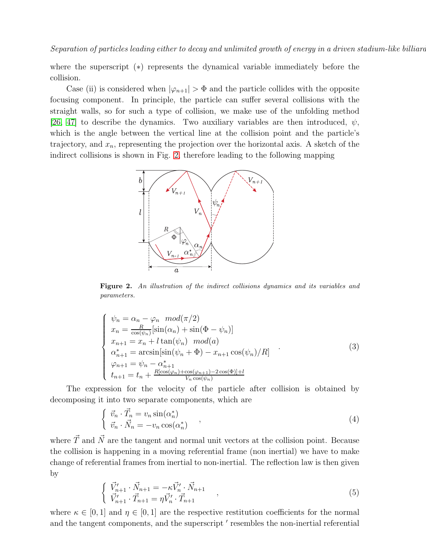where the superscript (∗) represents the dynamical variable immediately before the collision.

Case (ii) is considered when  $|\varphi_{n+1}| > \Phi$  and the particle collides with the opposite focusing component. In principle, the particle can suffer several collisions with the straight walls, so for such a type of collision, we make use of the unfolding method [\[26,](#page-17-0) [47\]](#page-17-21) to describe the dynamics. Two auxiliary variables are then introduced,  $\psi$ , which is the angle between the vertical line at the collision point and the particle's trajectory, and  $x_n$ , representing the projection over the horizontal axis. A sketch of the indirect collisions is shown in Fig. [2,](#page-4-0) therefore leading to the following mapping



<span id="page-4-0"></span>Figure 2. An illustration of the indirect collisions dynamics and its variables and parameters.

<span id="page-4-1"></span>
$$
\begin{cases}\n\psi_n = \alpha_n - \varphi_n \mod (\pi/2) \\
x_n = \frac{R}{\cos(\psi_n)}[\sin(\alpha_n) + \sin(\Phi - \psi_n)] \\
x_{n+1} = x_n + l \tan(\psi_n) \mod (a) \\
\alpha_{n+1}^* = \arcsin[\sin(\psi_n + \Phi) - x_{n+1} \cos(\psi_n)/R] \\
\varphi_{n+1} = \psi_n - \alpha_{n+1}^* \\
t_{n+1} = t_n + \frac{R[\cos(\varphi_n) + \cos(\varphi_{n+1}) - 2\cos(\Phi)] + l}{V_n \cos(\psi_n)}\n\end{cases}
$$
\n(3)

The expression for the velocity of the particle after collision is obtained by decomposing it into two separate components, which are

$$
\begin{cases} \vec{v}_n \cdot \vec{T}_n = v_n \sin(\alpha_n^*) \\ \vec{v}_n \cdot \vec{N}_n = -v_n \cos(\alpha_n^*) \end{cases} ,
$$
\n(4)

where  $\vec{T}$  and  $\vec{N}$  are the tangent and normal unit vectors at the collision point. Because the collision is happening in a moving referential frame (non inertial) we have to make change of referential frames from inertial to non-inertial. The reflection law is then given by

$$
\begin{cases}\n\vec{V}_{n+1}' \cdot \vec{N}_{n+1} = -\kappa \vec{V}_n' \cdot \vec{N}_{n+1} \\
\vec{V}_{n+1}' \cdot \vec{T}_{n+1} = \eta \vec{V}_n' \cdot \vec{T}_{n+1}\n\end{cases},
$$
\n(5)

where  $\kappa \in [0,1]$  and  $\eta \in [0,1]$  are the respective restitution coefficients for the normal and the tangent components, and the superscript ′ resembles the non-inertial referential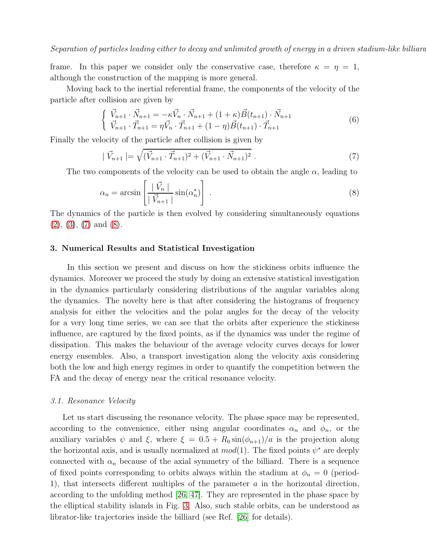Separation of particles leading either to decay and unlimited growth of energy in a driven stadium-like billiard

frame. In this paper we consider only the conservative case, therefore  $\kappa = \eta = 1$ , although the construction of the mapping is more general.

Moving back to the inertial referential frame, the components of the velocity of the particle after collision are given by

$$
\begin{cases} \vec{V}_{n+1} \cdot \vec{N}_{n+1} = -\kappa \vec{V}_n \cdot \vec{N}_{n+1} + (1+\kappa) \vec{B}(t_{n+1}) \cdot \vec{N}_{n+1} \\ \vec{V}_{n+1} \cdot \vec{T}_{n+1} = \eta \vec{V}_n \cdot \vec{T}_{n+1} + (1-\eta) \vec{B}(t_{n+1}) \cdot \vec{T}_{n+1} \end{cases} \tag{6}
$$

Finally the velocity of the particle after collision is given by

<span id="page-5-1"></span>
$$
|\vec{V}_{n+1}| = \sqrt{(\vec{V}_{n+1} \cdot \vec{T}_{n+1})^2 + (\vec{V}_{n+1} \cdot \vec{N}_{n+1})^2} . \tag{7}
$$

The two components of the velocity can be used to obtain the angle  $\alpha$ , leading to

<span id="page-5-2"></span>
$$
\alpha_n = \arcsin\left[\frac{|\vec{V}_n|}{|\vec{V}_{n+1}|}\sin(\alpha_n^*)\right].\tag{8}
$$

The dynamics of the particle is then evolved by considering simultaneously equations  $(2), (3), (7)$  $(2), (3), (7)$  $(2), (3), (7)$  $(2), (3), (7)$  $(2), (3), (7)$  and  $(8).$ 

# <span id="page-5-0"></span>3. Numerical Results and Statistical Investigation

In this section we present and discuss on how the stickiness orbits influence the dynamics. Moreover we proceed the study by doing an extensive statistical investigation in the dynamics particularly considering distributions of the angular variables along the dynamics. The novelty here is that after considering the histograms of frequency analysis for either the velocities and the polar angles for the decay of the velocity for a very long time series, we can see that the orbits after experience the stickiness influence, are captured by the fixed points, as if the dynamics was under the regime of dissipation. This makes the behaviour of the average velocity curves decays for lower energy ensembles. Also, a transport investigation along the velocity axis considering both the low and high energy regimes in order to quantify the competition between the FA and the decay of energy near the critical resonance velocity.

#### 3.1. Resonance Velocity

Let us start discussing the resonance velocity. The phase space may be represented, according to the convenience, either using angular coordinates  $\alpha_n$  and  $\phi_n$ , or the auxiliary variables  $\psi$  and  $\xi$ , where  $\xi = 0.5 + R_0 \sin(\phi_{n+1})/a$  is the projection along the horizontal axis, and is usually normalized at  $mod(1)$ . The fixed points  $\psi^*$  are deeply connected with  $\alpha_n$  because of the axial symmetry of the billiard. There is a sequence of fixed points corresponding to orbits always within the stadium at  $\phi_n = 0$  (period-1), that intersects different multiples of the parameter  $a$  in the horizontal direction, according to the unfolding method [\[26,](#page-17-0) [47\]](#page-17-21). They are represented in the phase space by the elliptical stability islands in Fig. [3.](#page-7-0) Also, such stable orbits, can be understood as librator-like trajectories inside the billiard (see Ref. [\[26\]](#page-17-0) for details).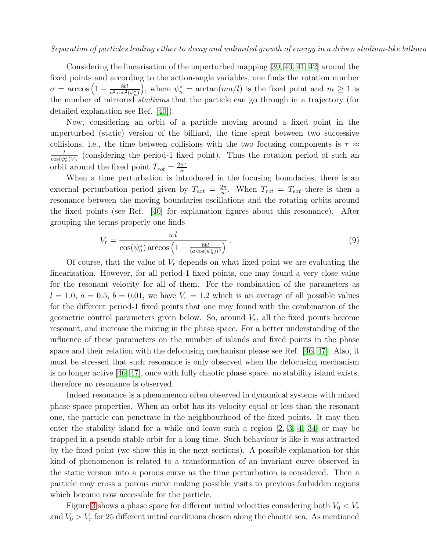Considering the linearisation of the unperturbed mapping [\[39,](#page-17-13) [40,](#page-17-14) [41,](#page-17-15) [42\]](#page-17-16) around the fixed points and according to the action-angle variables, one finds the rotation number  $\sigma = \arccos\left(1 - \frac{8bl}{a^2\cos^2(\psi_n^*)}\right)$ , where  $\psi_n^* = \arctan(ma/l)$  is the fixed point and  $m \ge 1$  is the number of mirrored stadiums that the particle can go through in a trajectory (for detailed explanation see Ref. [\[40\]](#page-17-14)).

Now, considering an orbit of a particle moving around a fixed point in the unperturbed (static) version of the billiard, the time spent between two successive collisions, i.e., the time between collisions with the two focusing components is  $\tau \approx$  $\frac{l}{\cos(\psi_n^*)V_n}$  (considering the period-1 fixed point). Thus the rotation period of such an orbit around the fixed point  $T_{rot} = \frac{2\pi\tau}{\sigma}$  $\frac{\pi\tau}{\sigma}$ .

When a time perturbation is introduced in the focusing boundaries, there is an external perturbation period given by  $T_{ext} = \frac{2\pi}{w}$  $\frac{2\pi}{w}$ . When  $T_{rot} = T_{ext}$  there is then a resonance between the moving boundaries oscillations and the rotating orbits around the fixed points (see Ref. [\[40\]](#page-17-14) for explanation figures about this resonance). After grouping the terms properly one finds

$$
V_r = \frac{wl}{\cos(\psi_n^*) \arccos\left(1 - \frac{8bl}{(a\cos(\psi_n^*))^2}\right)}.
$$
\n(9)

Of course, that the value of  $V_r$  depends on what fixed point we are evaluating the linearisation. However, for all period-1 fixed points, one may found a very close value for the resonant velocity for all of them. For the combination of the parameters as  $l = 1.0, a = 0.5, b = 0.01$ , we have  $V_r = 1.2$  which is an average of all possible values for the different period-1 fixed points that one may found with the combination of the geometric control parameters given below. So, around  $V_r$ , all the fixed points become resonant, and increase the mixing in the phase space. For a better understanding of the influence of these parameters on the number of islands and fixed points in the phase space and their relation with the defocusing mechanism please see Ref. [\[46,](#page-17-20) [47\]](#page-17-21). Also, it must be stressed that such resonance is only observed when the defocusing mechanism is no longer active [\[46,](#page-17-20) [47\]](#page-17-21), once with fully chaotic phase space, no stability island exists, therefore no resonance is observed.

Indeed resonance is a phenomenon often observed in dynamical systems with mixed phase space properties. When an orbit has its velocity equal or less than the resonant one, the particle can penetrate in the neighbourhood of the fixed points. It may then enter the stability island for a while and leave such a region [\[2,](#page-16-1) [3,](#page-16-2) [4,](#page-16-3) [34\]](#page-17-8) or may be trapped in a pseudo stable orbit for a long time. Such behaviour is like it was attracted by the fixed point (we show this in the next sections). A possible explanation for this kind of phenomenon is related to a transformation of an invariant curve observed in the static version into a porous curve as the time perturbation is considered. Then a particle may cross a porous curve making possible visits to previous forbidden regions which become now accessible for the particle.

Figure [3](#page-7-0) shows a phase space for different initial velocities considering both  $V_0 < V_r$ and  $V_0 > V_r$  for 25 different initial conditions chosen along the chaotic sea. As mentioned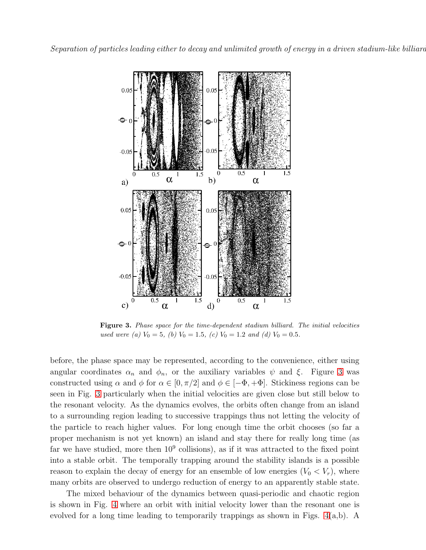

<span id="page-7-0"></span>Figure 3. Phase space for the time-dependent stadium billiard. The initial velocities used were (a)  $V_0 = 5$ , (b)  $V_0 = 1.5$ , (c)  $V_0 = 1.2$  and (d)  $V_0 = 0.5$ .

before, the phase space may be represented, according to the convenience, either using angular coordinates  $\alpha_n$  and  $\phi_n$ , or the auxiliary variables  $\psi$  and  $\xi$ . Figure [3](#page-7-0) was constructed using  $\alpha$  and  $\phi$  for  $\alpha \in [0, \pi/2]$  and  $\phi \in [-\Phi, +\Phi]$ . Stickiness regions can be seen in Fig. [3](#page-7-0) particularly when the initial velocities are given close but still below to the resonant velocity. As the dynamics evolves, the orbits often change from an island to a surrounding region leading to successive trappings thus not letting the velocity of the particle to reach higher values. For long enough time the orbit chooses (so far a proper mechanism is not yet known) an island and stay there for really long time (as far we have studied, more then  $10<sup>9</sup>$  collisions), as if it was attracted to the fixed point into a stable orbit. The temporally trapping around the stability islands is a possible reason to explain the decay of energy for an ensemble of low energies  $(V_0 < V_r)$ , where many orbits are observed to undergo reduction of energy to an apparently stable state.

The mixed behaviour of the dynamics between quasi-periodic and chaotic region is shown in Fig. [4](#page-8-0) where an orbit with initial velocity lower than the resonant one is evolved for a long time leading to temporarily trappings as shown in Figs. [4\(](#page-8-0)a,b). A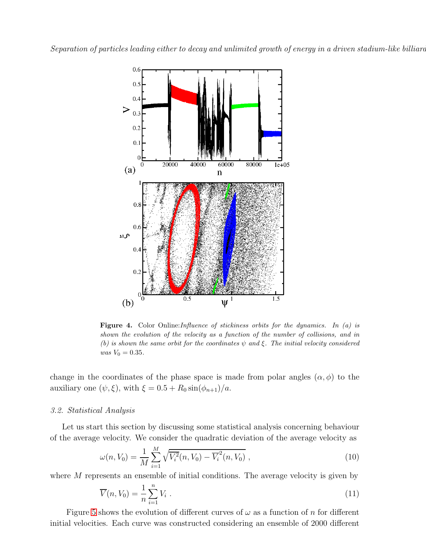

<span id="page-8-0"></span>**Figure 4.** Color Online: *Influence of stickiness orbits for the dynamics. In (a) is* shown the evolution of the velocity as a function of the number of collisions, and in (b) is shown the same orbit for the coordinates  $\psi$  and  $\xi$ . The initial velocity considered  $was V_0 = 0.35.$ 

change in the coordinates of the phase space is made from polar angles  $(\alpha, \phi)$  to the auxiliary one  $(\psi, \xi)$ , with  $\xi = 0.5 + R_0 \sin(\phi_{n+1})/a$ .

#### 3.2. Statistical Analysis

Let us start this section by discussing some statistical analysis concerning behaviour of the average velocity. We consider the quadratic deviation of the average velocity as

$$
\omega(n, V_0) = \frac{1}{M} \sum_{i=1}^{M} \sqrt{\overline{V_i^2}(n, V_0) - \overline{V_i^2}(n, V_0)},
$$
\n(10)

where M represents an ensemble of initial conditions. The average velocity is given by

$$
\overline{V}(n, V_0) = \frac{1}{n} \sum_{i=1}^{n} V_i \tag{11}
$$

Figure [5](#page-9-0) shows the evolution of different curves of  $\omega$  as a function of n for different initial velocities. Each curve was constructed considering an ensemble of 2000 different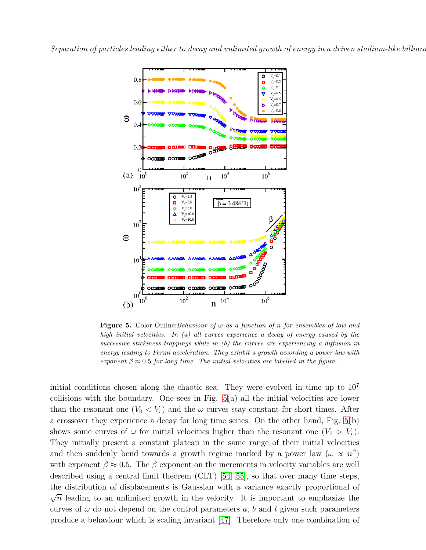

<span id="page-9-0"></span>**Figure 5.** Color Online: Behaviour of  $\omega$  as a function of n for ensembles of low and high initial velocities. In (a) all curves experience a decay of energy caused by the successive stickiness trappings while in (b) the curves are experiencing a diffusion in energy leading to Fermi acceleration. They exhibit a growth according a power law with exponent  $\beta \approx 0.5$  for long time. The initial velocities are labelled in the figure.

initial conditions chosen along the chaotic sea. They were evolved in time up to  $10<sup>7</sup>$ collisions with the boundary. One sees in Fig. [5\(](#page-9-0)a) all the initial velocities are lower than the resonant one  $(V_0 < V_r)$  and the  $\omega$  curves stay constant for short times. After a crossover they experience a decay for long time series. On the other hand, Fig. [5\(](#page-9-0)b) shows some curves of  $\omega$  for initial velocities higher than the resonant one  $(V_0 > V_r)$ . They initially present a constant plateau in the same range of their initial velocities and then suddenly bend towards a growth regime marked by a power law  $(\omega \propto n^{\beta})$ with exponent  $\beta \approx 0.5$ . The  $\beta$  exponent on the increments in velocity variables are well described using a central limit theorem (CLT) [\[54,](#page-17-28) [55\]](#page-17-29), so that over many time steps, the distribution of displacements is Gaussian with a variance exactly proportional of  $\sqrt{n}$  leading to an unlimited growth in the velocity. It is important to emphasize the curves of  $\omega$  do not depend on the control parameters a, b and l given such parameters produce a behaviour which is scaling invariant [\[47\]](#page-17-21). Therefore only one combination of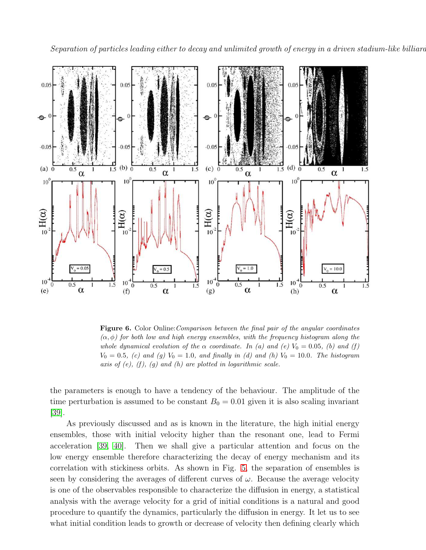Separation of particles leading either to decay and unlimited growth of energy in a driven stadium-like billiard



<span id="page-10-0"></span>Figure 6. Color Online: Comparison between the final pair of the angular coordinates  $(\alpha, \phi)$  for both low and high energy ensembles, with the frequency histogram along the whole dynamical evolution of the  $\alpha$  coordinate. In (a) and (e)  $V_0 = 0.05$ , (b) and (f)  $V_0 = 0.5$ , (c) and (g)  $V_0 = 1.0$ , and finally in (d) and (h)  $V_0 = 10.0$ . The histogram axis of  $(e)$ ,  $(f)$ ,  $(g)$  and  $(h)$  are plotted in logarithmic scale.

the parameters is enough to have a tendency of the behaviour. The amplitude of the time perturbation is assumed to be constant  $B_0 = 0.01$  given it is also scaling invariant [\[39\]](#page-17-13).

As previously discussed and as is known in the literature, the high initial energy ensembles, those with initial velocity higher than the resonant one, lead to Fermi acceleration [\[39,](#page-17-13) [40\]](#page-17-14). Then we shall give a particular attention and focus on the low energy ensemble therefore characterizing the decay of energy mechanism and its correlation with stickiness orbits. As shown in Fig. [5,](#page-9-0) the separation of ensembles is seen by considering the averages of different curves of  $\omega$ . Because the average velocity is one of the observables responsible to characterize the diffusion in energy, a statistical analysis with the average velocity for a grid of initial conditions is a natural and good procedure to quantify the dynamics, particularly the diffusion in energy. It let us to see what initial condition leads to growth or decrease of velocity then defining clearly which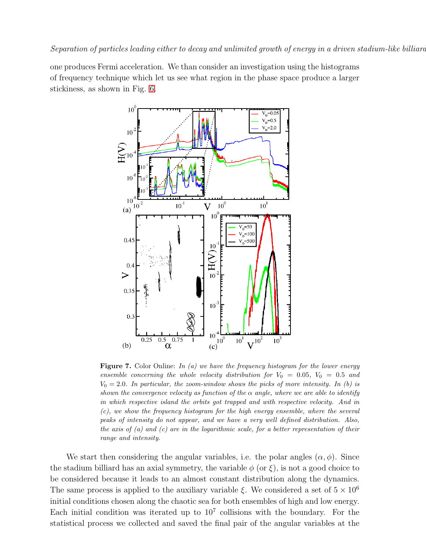one produces Fermi acceleration. We than consider an investigation using the histograms of frequency technique which let us see what region in the phase space produce a larger stickiness, as shown in Fig. [6.](#page-10-0)



<span id="page-11-0"></span>**Figure 7.** Color Online: In (a) we have the frequency histogram for the lower energy ensemble concerning the whole velocity distribution for  $V_0 = 0.05$ ,  $V_0 = 0.5$  and  $V_0 = 2.0$ . In particular, the zoom-window shows the picks of more intensity. In (b) is shown the convergence velocity as function of the  $\alpha$  angle, where we are able to identify in which respective island the orbits got trapped and with respective velocity. And in (c), we show the frequency histogram for the high energy ensemble, where the several peaks of intensity do not appear, and we have a very well defined distribution. Also, the axis of (a) and (c) are in the logarithmic scale, for a better representation of their range and intensity.

We start then considering the angular variables, i.e. the polar angles  $(\alpha, \phi)$ . Since the stadium billiard has an axial symmetry, the variable  $\phi$  (or  $\xi$ ), is not a good choice to be considered because it leads to an almost constant distribution along the dynamics. The same process is applied to the auxiliary variable  $\xi$ . We considered a set of  $5 \times 10^6$ initial conditions chosen along the chaotic sea for both ensembles of high and low energy. Each initial condition was iterated up to  $10<sup>7</sup>$  collisions with the boundary. For the statistical process we collected and saved the final pair of the angular variables at the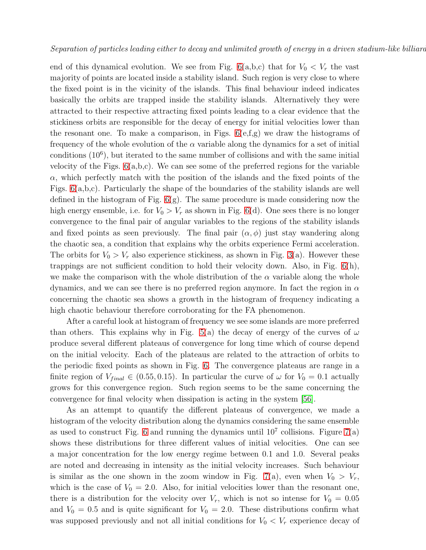end of this dynamical evolution. We see from Fig.  $6(a,b,c)$  that for  $V_0 < V_r$  the vast majority of points are located inside a stability island. Such region is very close to where the fixed point is in the vicinity of the islands. This final behaviour indeed indicates basically the orbits are trapped inside the stability islands. Alternatively they were attracted to their respective attracting fixed points leading to a clear evidence that the stickiness orbits are responsible for the decay of energy for initial velocities lower than the resonant one. To make a comparison, in Figs.  $6(e,f,g)$  we draw the histograms of frequency of the whole evolution of the  $\alpha$  variable along the dynamics for a set of initial conditions (10<sup>6</sup> ), but iterated to the same number of collisions and with the same initial velocity of the Figs.  $6(a,b,c)$ . We can see some of the preferred regions for the variable  $\alpha$ , which perfectly match with the position of the islands and the fixed points of the Figs. [6\(](#page-10-0)a,b,c). Particularly the shape of the boundaries of the stability islands are well defined in the histogram of Fig. [6\(](#page-10-0)g). The same procedure is made considering now the high energy ensemble, i.e. for  $V_0 > V_r$  as shown in Fig. [6\(](#page-10-0)d). One sees there is no longer convergence to the final pair of angular variables to the regions of the stability islands and fixed points as seen previously. The final pair  $(\alpha, \phi)$  just stay wandering along the chaotic sea, a condition that explains why the orbits experience Fermi acceleration. The orbits for  $V_0 > V_r$  also experience stickiness, as shown in Fig. [3\(](#page-7-0)a). However these trappings are not sufficient condition to hold their velocity down. Also, in Fig.  $6(h)$ , we make the comparison with the whole distribution of the  $\alpha$  variable along the whole dynamics, and we can see there is no preferred region anymore. In fact the region in  $\alpha$ concerning the chaotic sea shows a growth in the histogram of frequency indicating a high chaotic behaviour therefore corroborating for the FA phenomenon.

After a careful look at histogram of frequency we see some islands are more preferred than others. This explains why in Fig. [5\(](#page-9-0)a) the decay of energy of the curves of  $\omega$ produce several different plateaus of convergence for long time which of course depend on the initial velocity. Each of the plateaus are related to the attraction of orbits to the periodic fixed points as shown in Fig. [6.](#page-10-0) The convergence plateaus are range in a finite region of  $V_{final} \in (0.55, 0.15)$ . In particular the curve of  $\omega$  for  $V_0 = 0.1$  actually grows for this convergence region. Such region seems to be the same concerning the convergence for final velocity when dissipation is acting in the system [\[56\]](#page-17-30).

As an attempt to quantify the different plateaus of convergence, we made a histogram of the velocity distribution along the dynamics considering the same ensemble as used to construct Fig. [6](#page-10-0) and running the dynamics until  $10^7$  collisions. Figure  $7(a)$ shows these distributions for three different values of initial velocities. One can see a major concentration for the low energy regime between 0.1 and 1.0. Several peaks are noted and decreasing in intensity as the initial velocity increases. Such behaviour is similar as the one shown in the zoom window in Fig. [7\(](#page-11-0)a), even when  $V_0 > V_r$ , which is the case of  $V_0 = 2.0$ . Also, for initial velocities lower than the resonant one, there is a distribution for the velocity over  $V_r$ , which is not so intense for  $V_0 = 0.05$ and  $V_0 = 0.5$  and is quite significant for  $V_0 = 2.0$ . These distributions confirm what was supposed previously and not all initial conditions for  $V_0 < V_r$  experience decay of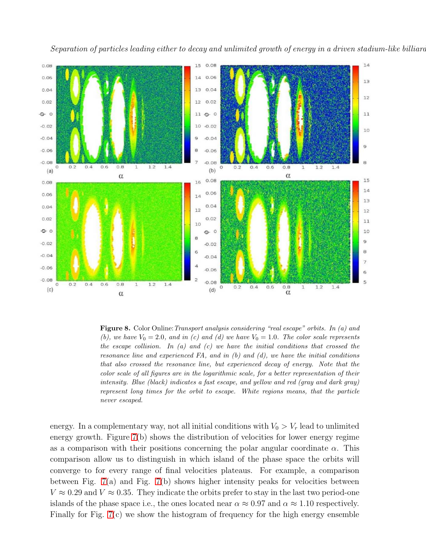



<span id="page-13-0"></span>Figure 8. Color Online:Transport analysis considering "real escape" orbits. In (a) and (b), we have  $V_0 = 2.0$ , and in (c) and (d) we have  $V_0 = 1.0$ . The color scale represents the escape collision. In (a) and (c) we have the initial conditions that crossed the resonance line and experienced  $FA$ , and in  $(b)$  and  $(d)$ , we have the initial conditions that also crossed the resonance line, but experienced decay of energy. Note that the color scale of all figures are in the logarithmic scale, for a better representation of their intensity. Blue (black) indicates a fast escape, and yellow and red (gray and dark gray) represent long times for the orbit to escape. White regions means, that the particle never escaped.

energy. In a complementary way, not all initial conditions with  $V_0 > V_r$  lead to unlimited energy growth. Figure [7\(](#page-11-0)b) shows the distribution of velocities for lower energy regime as a comparison with their positions concerning the polar angular coordinate  $\alpha$ . This comparison allow us to distinguish in which island of the phase space the orbits will converge to for every range of final velocities plateaus. For example, a comparison between Fig.  $7(a)$  and Fig.  $7(b)$  shows higher intensity peaks for velocities between  $V \approx 0.29$  and  $V \approx 0.35$ . They indicate the orbits prefer to stay in the last two period-one islands of the phase space i.e., the ones located near  $\alpha \approx 0.97$  and  $\alpha \approx 1.10$  respectively. Finally for Fig. [7\(](#page-11-0)c) we show the histogram of frequency for the high energy ensemble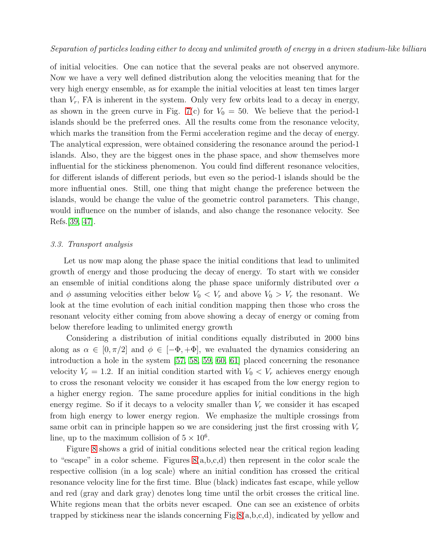of initial velocities. One can notice that the several peaks are not observed anymore. Now we have a very well defined distribution along the velocities meaning that for the very high energy ensemble, as for example the initial velocities at least ten times larger than  $V_r$ , FA is inherent in the system. Only very few orbits lead to a decay in energy, as shown in the green curve in Fig. [7\(](#page-11-0)c) for  $V_0 = 50$ . We believe that the period-1 islands should be the preferred ones. All the results come from the resonance velocity, which marks the transition from the Fermi acceleration regime and the decay of energy. The analytical expression, were obtained considering the resonance around the period-1 islands. Also, they are the biggest ones in the phase space, and show themselves more influential for the stickiness phenomenon. You could find different resonance velocities, for different islands of different periods, but even so the period-1 islands should be the more influential ones. Still, one thing that might change the preference between the islands, would be change the value of the geometric control parameters. This change, would influence on the number of islands, and also change the resonance velocity. See Refs.[\[39,](#page-17-13) [47\]](#page-17-21).

## 3.3. Transport analysis

Let us now map along the phase space the initial conditions that lead to unlimited growth of energy and those producing the decay of energy. To start with we consider an ensemble of initial conditions along the phase space uniformly distributed over  $\alpha$ and  $\phi$  assuming velocities either below  $V_0 \langle V_r \rangle$  and above  $V_0 \rangle V_r$  the resonant. We look at the time evolution of each initial condition mapping then those who cross the resonant velocity either coming from above showing a decay of energy or coming from below therefore leading to unlimited energy growth

Considering a distribution of initial conditions equally distributed in 2000 bins along as  $\alpha \in [0, \pi/2]$  and  $\phi \in [-\Phi, +\Phi]$ , we evaluated the dynamics considering an introduction a hole in the system [\[57,](#page-17-31) [58,](#page-17-32) [59,](#page-17-33) [60,](#page-17-34) [61\]](#page-17-35) placed concerning the resonance velocity  $V_r = 1.2$ . If an initial condition started with  $V_0 < V_r$  achieves energy enough to cross the resonant velocity we consider it has escaped from the low energy region to a higher energy region. The same procedure applies for initial conditions in the high energy regime. So if it decays to a velocity smaller than  $V_r$  we consider it has escaped from high energy to lower energy region. We emphasize the multiple crossings from same orbit can in principle happen so we are considering just the first crossing with  $V_r$ line, up to the maximum collision of  $5 \times 10^6$ .

Figure [8](#page-13-0) shows a grid of initial conditions selected near the critical region leading to "escape" in a color scheme. Figures [8\(](#page-13-0)a,b,c,d) then represent in the color scale the respective collision (in a log scale) where an initial condition has crossed the critical resonance velocity line for the first time. Blue (black) indicates fast escape, while yellow and red (gray and dark gray) denotes long time until the orbit crosses the critical line. White regions mean that the orbits never escaped. One can see an existence of orbits trapped by stickiness near the islands concerning Fig[.8\(](#page-13-0)a,b,c,d), indicated by yellow and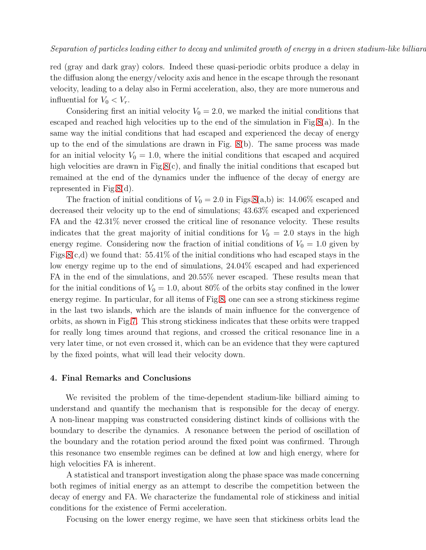red (gray and dark gray) colors. Indeed these quasi-periodic orbits produce a delay in the diffusion along the energy/velocity axis and hence in the escape through the resonant velocity, leading to a delay also in Fermi acceleration, also, they are more numerous and influential for  $V_0 < V_r$ .

Considering first an initial velocity  $V_0 = 2.0$ , we marked the initial conditions that escaped and reached high velocities up to the end of the simulation in Fig[.8\(](#page-13-0)a). In the same way the initial conditions that had escaped and experienced the decay of energy up to the end of the simulations are drawn in Fig. [8\(](#page-13-0)b). The same process was made for an initial velocity  $V_0 = 1.0$ , where the initial conditions that escaped and acquired high velocities are drawn in Fig[.8\(](#page-13-0)c), and finally the initial conditions that escaped but remained at the end of the dynamics under the influence of the decay of energy are represented in Fig[.8\(](#page-13-0)d).

The fraction of initial conditions of  $V_0 = 2.0$  in Figs[.8\(](#page-13-0)a,b) is: 14.06% escaped and decreased their velocity up to the end of simulations; 43.63% escaped and experienced FA and the 42.31% never crossed the critical line of resonance velocity. These results indicates that the great majority of initial conditions for  $V_0 = 2.0$  stays in the high energy regime. Considering now the fraction of initial conditions of  $V_0 = 1.0$  given by Figs[.8\(](#page-13-0)c,d) we found that:  $55.41\%$  of the initial conditions who had escaped stays in the low energy regime up to the end of simulations, 24.04% escaped and had experienced FA in the end of the simulations, and 20.55% never escaped. These results mean that for the initial conditions of  $V_0 = 1.0$ , about 80% of the orbits stay confined in the lower energy regime. In particular, for all items of Fig[.8,](#page-13-0) one can see a strong stickiness regime in the last two islands, which are the islands of main influence for the convergence of orbits, as shown in Fig[.7.](#page-11-0) This strong stickiness indicates that these orbits were trapped for really long times around that regions, and crossed the critical resonance line in a very later time, or not even crossed it, which can be an evidence that they were captured by the fixed points, what will lead their velocity down.

## <span id="page-15-0"></span>4. Final Remarks and Conclusions

We revisited the problem of the time-dependent stadium-like billiard aiming to understand and quantify the mechanism that is responsible for the decay of energy. A non-linear mapping was constructed considering distinct kinds of collisions with the boundary to describe the dynamics. A resonance between the period of oscillation of the boundary and the rotation period around the fixed point was confirmed. Through this resonance two ensemble regimes can be defined at low and high energy, where for high velocities FA is inherent.

A statistical and transport investigation along the phase space was made concerning both regimes of initial energy as an attempt to describe the competition between the decay of energy and FA. We characterize the fundamental role of stickiness and initial conditions for the existence of Fermi acceleration.

Focusing on the lower energy regime, we have seen that stickiness orbits lead the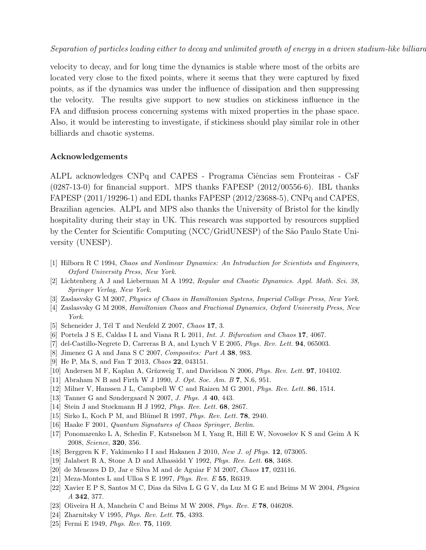velocity to decay, and for long time the dynamics is stable where most of the orbits are located very close to the fixed points, where it seems that they were captured by fixed points, as if the dynamics was under the influence of dissipation and then suppressing the velocity. The results give support to new studies on stickiness influence in the FA and diffusion process concerning systems with mixed properties in the phase space. Also, it would be interesting to investigate, if stickiness should play similar role in other billiards and chaotic systems.

# Acknowledgements

ALPL acknowledges CNPq and CAPES - Programa Ciências sem Fronteiras - CsF (0287-13-0) for financial support. MPS thanks FAPESP (2012/00556-6). IBL thanks FAPESP (2011/19296-1) and EDL thanks FAPESP (2012/23688-5), CNPq and CAPES, Brazilian agencies. ALPL and MPS also thanks the University of Bristol for the kindly hospitality during their stay in UK. This research was supported by resources supplied by the Center for Scientific Computing (NCC/GridUNESP) of the S˜ao Paulo State University (UNESP).

- <span id="page-16-0"></span>[1] Hilborn R C 1994, Chaos and Nonlinear Dynamics: An Introduction for Scientists and Engineers, Oxford University Press, New York.
- <span id="page-16-1"></span>[2] Lichtenberg A J and Lieberman M A 1992, Regular and Chaotic Dynamics. Appl. Math. Sci. 38, Springer Verlag, New York.
- <span id="page-16-3"></span><span id="page-16-2"></span>[3] Zaslasvsky G M 2007, Physics of Chaos in Hamiltonian Systens, Imperial College Press, New York.
- <span id="page-16-4"></span>[4] Zaslasvsky G M 2008, Hamiltonian Chaos and Fractional Dynamics, Oxford University Press, New York.
- <span id="page-16-5"></span>[5] Scheneider J, Tél T and Neufeld Z  $2007$ , Chaos 17, 3.
- <span id="page-16-6"></span>[6] Portela J S E, Caldas I L and Viana R L 2011, Int. J. Bifurcation and Chaos 17, 4067.
- <span id="page-16-7"></span>[7] del-Castillo-Negrete D, Carreras B A, and Lynch V E 2005, *Phys. Rev. Lett.* **94**, 065003.
- <span id="page-16-8"></span>[8] Jimenez G A and Jana S C 2007, Composites: Part A 38, 983.
- <span id="page-16-9"></span>[9] He P, Ma S, and Fan T 2013, Chaos 22, 043151.
- <span id="page-16-10"></span>[10] Andersen M F, Kaplan A, Grňzweig T, and Davidson N 2006, *Phys. Rev. Lett.* **97**, 104102.
- <span id="page-16-11"></span>[11] Abraham N B and Firth W J 1990, J. Opt. Soc. Am. B 7, N.6, 951.
- <span id="page-16-12"></span>[12] Milner V, Hanssen J L, Campbell W C and Raizen M G 2001, Phys. Rev. Lett. 86, 1514.
- <span id="page-16-13"></span>[13] Tanner G and Søndergaard N 2007, J. Phys. A 40, 443.
- <span id="page-16-14"></span>[14] Stein J and Støckmann H J 1992, *Phys. Rev. Lett.* **68**, 2867.
- <span id="page-16-15"></span>[15] Sirko L, Koch P M, and Blümel R 1997, *Phys. Rev. Lett.* **78**, 2940.
- <span id="page-16-16"></span>[16] Haake F 2001, Quantum Signatures of Chaos Springer, Berlin.
- [17] Ponomarenko L A, Schedin F, Katsnelson M I, Yang R, Hill E W, Novoselov K S and Geim A K 2008, Science, 320, 356.
- <span id="page-16-18"></span><span id="page-16-17"></span>[18] Berggren K F, Yakimenko I I and Hakanen J 2010, New J. of Phys. 12, 073005.
- <span id="page-16-19"></span>[19] Jalabert R A, Stone A D and Alhassidd Y 1992, Phys. Rev. Lett. 68, 3468.
- <span id="page-16-20"></span>[20] de Menezes D D, Jar e Silva M and de Aguiar F M 2007, Chaos 17, 023116.
- <span id="page-16-21"></span>[21] Meza-Montes L and Ulloa S E 1997, Phys. Rev. E 55, R6319.
- [22] Xavier E P S, Santos M C, Dias da Silva L G G V, da Luz M G E and Beims M W 2004, Physica A 342, 377.
- <span id="page-16-23"></span><span id="page-16-22"></span>[23] Oliveira H A, Manchein C and Beims M W 2008, Phys. Rev. E 78, 046208.
- <span id="page-16-24"></span>[24] Zharnitsky V 1995, *Phys. Rev. Lett.* **75**, 4393.
- [25] Fermi E 1949, Phys. Rev. 75, 1169.